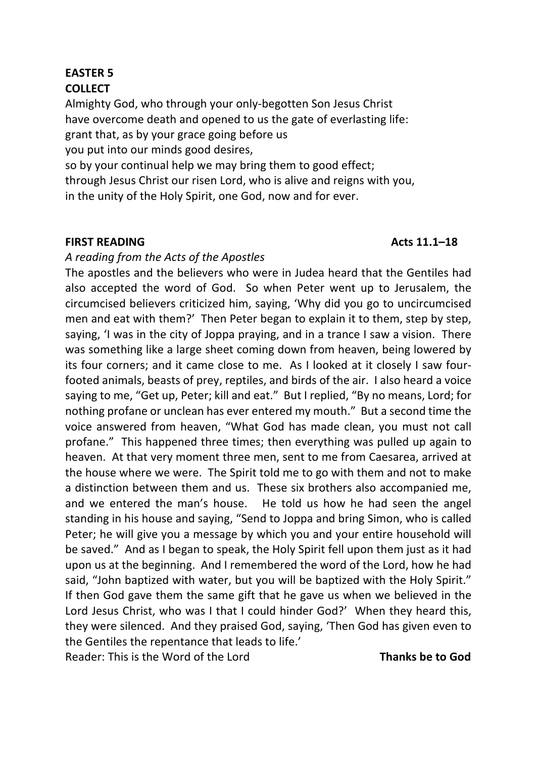# **EASTER 5 COLLECT**

Almighty God, who through your only-begotten Son Jesus Christ have overcome death and opened to us the gate of everlasting life: grant that, as by your grace going before us you put into our minds good desires,

so by your continual help we may bring them to good effect; through Jesus Christ our risen Lord, who is alive and reigns with you, in the unity of the Holy Spirit, one God, now and for ever.

# **FIRST READING Acts 11.1–18**

# *A reading from the Acts of the Apostles*

The apostles and the believers who were in Judea heard that the Gentiles had also accepted the word of God. So when Peter went up to Jerusalem, the circumcised believers criticized him, saying, 'Why did you go to uncircumcised men and eat with them?' Then Peter began to explain it to them, step by step, saying, 'I was in the city of Joppa praying, and in a trance I saw a vision. There was something like a large sheet coming down from heaven, being lowered by its four corners; and it came close to me. As I looked at it closely I saw fourfooted animals, beasts of prey, reptiles, and birds of the air. I also heard a voice saying to me, "Get up, Peter; kill and eat." But I replied, "By no means, Lord; for nothing profane or unclean has ever entered my mouth." But a second time the voice answered from heaven, "What God has made clean, you must not call profane." This happened three times; then everything was pulled up again to heaven. At that very moment three men, sent to me from Caesarea, arrived at the house where we were. The Spirit told me to go with them and not to make a distinction between them and us. These six brothers also accompanied me, and we entered the man's house. He told us how he had seen the angel standing in his house and saying, "Send to Joppa and bring Simon, who is called Peter; he will give you a message by which you and your entire household will be saved." And as I began to speak, the Holy Spirit fell upon them just as it had upon us at the beginning. And I remembered the word of the Lord, how he had said, "John baptized with water, but you will be baptized with the Holy Spirit." If then God gave them the same gift that he gave us when we believed in the Lord Jesus Christ, who was I that I could hinder God?' When they heard this, they were silenced. And they praised God, saying, 'Then God has given even to the Gentiles the repentance that leads to life.'

Reader: This is the Word of the Lord **Thanks be to God**